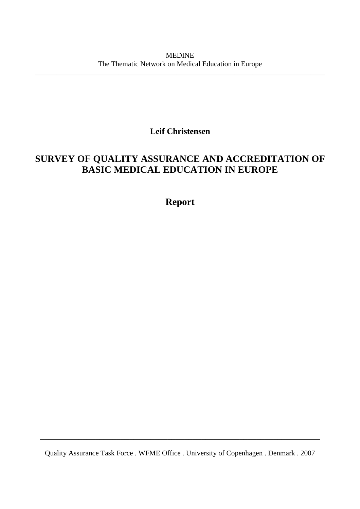\_\_\_\_\_\_\_\_\_\_\_\_\_\_\_\_\_\_\_\_\_\_\_\_\_\_\_\_\_\_\_\_\_\_\_\_\_\_\_\_\_\_\_\_\_\_\_\_\_\_\_\_\_\_\_\_\_\_\_\_\_\_\_\_\_\_\_\_\_\_\_\_\_\_\_\_\_\_\_\_

**Leif Christensen** 

# **SURVEY OF QUALITY ASSURANCE AND ACCREDITATION OF BASIC MEDICAL EDUCATION IN EUROPE**

# **Report**

Quality Assurance Task Force . WFME Office . University of Copenhagen . Denmark . 2007

**\_\_\_\_\_\_\_\_\_\_\_\_\_\_\_\_\_\_\_\_\_\_\_\_\_\_\_\_\_\_\_\_\_\_\_\_\_\_\_\_\_\_\_\_\_\_\_\_\_\_\_\_\_\_\_\_\_\_\_\_\_\_\_\_\_\_**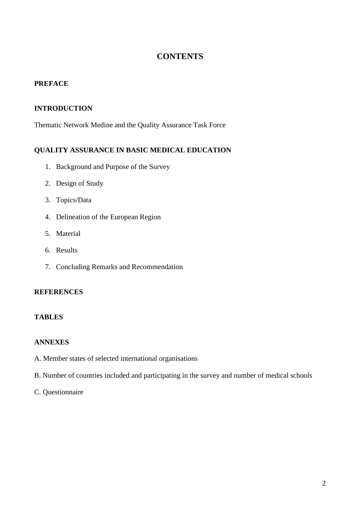### **CONTENTS**

#### **PREFACE**

#### **INTRODUCTION**

Thematic Network Medine and the Quality Assurance Task Force

#### **QUALITY ASSURANCE IN BASIC MEDICAL EDUCATION**

- 1. Background and Purpose of the Survey
- 2. Design of Study
- 3. Topics/Data
- 4. Delineation of the European Region
- 5. Material
- 6. Results
- 7. Concluding Remarks and Recommendation

#### **REFERENCES**

#### **TABLES**

#### **ANNEXES**

- A. Member states of selected international organisations
- B. Number of countries included and participating in the survey and number of medical schools

#### C. Questionnaire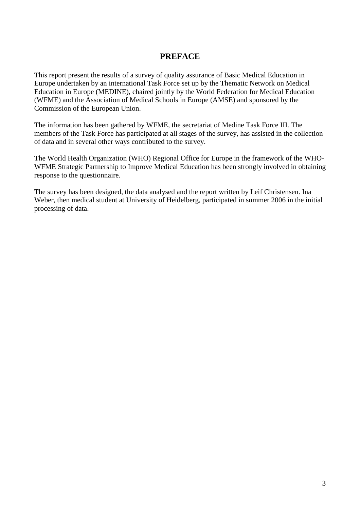### **PREFACE**

This report present the results of a survey of quality assurance of Basic Medical Education in Europe undertaken by an international Task Force set up by the Thematic Network on Medical Education in Europe (MEDINE), chaired jointly by the World Federation for Medical Education (WFME) and the Association of Medical Schools in Europe (AMSE) and sponsored by the Commission of the European Union.

The information has been gathered by WFME, the secretariat of Medine Task Force III. The members of the Task Force has participated at all stages of the survey, has assisted in the collection of data and in several other ways contributed to the survey.

The World Health Organization (WHO) Regional Office for Europe in the framework of the WHO-WFME Strategic Partnership to Improve Medical Education has been strongly involved in obtaining response to the questionnaire.

The survey has been designed, the data analysed and the report written by Leif Christensen. Ina Weber, then medical student at University of Heidelberg, participated in summer 2006 in the initial processing of data.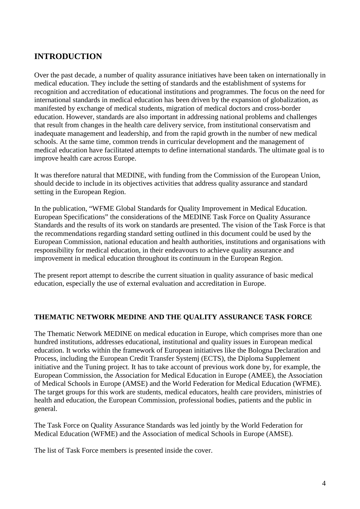# **INTRODUCTION**

Over the past decade, a number of quality assurance initiatives have been taken on internationally in medical education. They include the setting of standards and the establishment of systems for recognition and accreditation of educational institutions and programmes. The focus on the need for international standards in medical education has been driven by the expansion of globalization, as manifested by exchange of medical students, migration of medical doctors and cross-border education. However, standards are also important in addressing national problems and challenges that result from changes in the health care delivery service, from institutional conservatism and inadequate management and leadership, and from the rapid growth in the number of new medical schools. At the same time, common trends in curricular development and the management of medical education have facilitated attempts to define international standards. The ultimate goal is to improve health care across Europe.

It was therefore natural that MEDINE, with funding from the Commission of the European Union, should decide to include in its objectives activities that address quality assurance and standard setting in the European Region.

In the publication, "WFME Global Standards for Quality Improvement in Medical Education. European Specifications" the considerations of the MEDINE Task Force on Quality Assurance Standards and the results of its work on standards are presented. The vision of the Task Force is that the recommendations regarding standard setting outlined in this document could be used by the European Commission, national education and health authorities, institutions and organisations with responsibility for medical education, in their endeavours to achieve quality assurance and improvement in medical education throughout its continuum in the European Region.

The present report attempt to describe the current situation in quality assurance of basic medical education, especially the use of external evaluation and accreditation in Europe.

#### **THEMATIC NETWORK MEDINE AND THE QUALITY ASSURANCE TASK FORCE**

The Thematic Network MEDINE on medical education in Europe, which comprises more than one hundred institutions, addresses educational, institutional and quality issues in European medical education. It works within the framework of European initiatives like the Bologna Declaration and Process, including the European Credit Transfer Systemj (ECTS), the Diploma Supplement initiative and the Tuning project. It has to take account of previous work done by, for example, the European Commission, the Association for Medical Education in Europe (AMEE), the Association of Medical Schools in Europe (AMSE) and the World Federation for Medical Education (WFME). The target groups for this work are students, medical educators, health care providers, ministries of health and education, the European Commission, professional bodies, patients and the public in general.

The Task Force on Quality Assurance Standards was led jointly by the World Federation for Medical Education (WFME) and the Association of medical Schools in Europe (AMSE).

The list of Task Force members is presented inside the cover.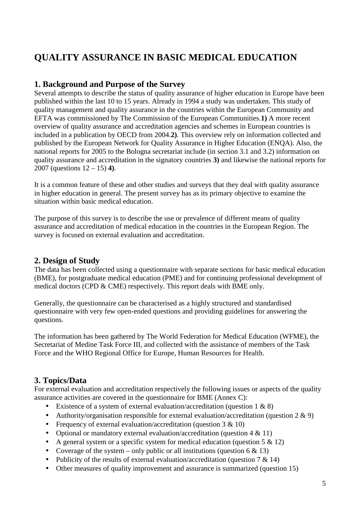# **QUALITY ASSURANCE IN BASIC MEDICAL EDUCATION**

### **1. Background and Purpose of the Survey**

Several attempts to describe the status of quality assurance of higher education in Europe have been published within the last 10 to 15 years. Already in 1994 a study was undertaken. This study of quality management and quality assurance in the countries within the European Community and EFTA was commissioned by The Commission of the European Communities.**1)** A more recent overview of quality assurance and accreditation agencies and schemes in European countries is included in a publication by OECD from 2004.**2)**. This overview rely on information collected and published by the European Network for Quality Assurance in Higher Education (ENQA). Also, the national reports for 2005 to the Bologna secretariat include (in section 3.1 and 3.2) information on quality assurance and accreditation in the signatory countries **3)** and likewise the national reports for 2007 (questions 12 – 15) **4)**.

It is a common feature of these and other studies and surveys that they deal with quality assurance in higher education in general. The present survey has as its primary objective to examine the situation within basic medical education.

The purpose of this survey is to describe the use or prevalence of different means of quality assurance and accreditation of medical education in the countries in the European Region. The survey is focused on external evaluation and accreditation.

### **2. Design of Study**

The data has been collected using a questionnaire with separate sections for basic medical education (BME), for postgraduate medical education (PME) and for continuing professional development of medical doctors (CPD & CME) respectively. This report deals with BME only.

Generally, the questionnaire can be characterised as a highly structured and standardised questionnaire with very few open-ended questions and providing guidelines for answering the questions.

The information has been gathered by The World Federation for Medical Education (WFME), the Secretariat of Medine Task Force III, and collected with the assistance of members of the Task Force and the WHO Regional Office for Europe, Human Resources for Health.

## **3. Topics/Data**

For external evaluation and accreditation respectively the following issues or aspects of the quality assurance activities are covered in the questionnaire for BME (Annex C):

- Existence of a system of external evaluation/accreditation (question  $1 \& 8$ )
- Authority/organisation responsible for external evaluation/accreditation (question  $2 \& 9$ )
- Frequency of external evaluation/accreditation (question  $3 \& 10$ )
- Optional or mandatory external evaluation/accreditation (question 4 & 11)
- A general system or a specific system for medical education (question  $5 \& 12$ )
- Coverage of the system only public or all institutions (question  $6 \& 13$ )
- Publicity of the results of external evaluation/accreditation (question 7 & 14)
- Other measures of quality improvement and assurance is summarized (question 15)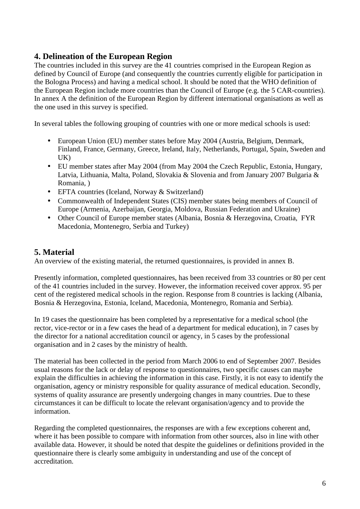### **4. Delineation of the European Region**

The countries included in this survey are the 41 countries comprised in the European Region as defined by Council of Europe (and consequently the countries currently eligible for participation in the Bologna Process) and having a medical school. It should be noted that the WHO definition of the European Region include more countries than the Council of Europe (e.g. the 5 CAR-countries). In annex A the definition of the European Region by different international organisations as well as the one used in this survey is specified.

In several tables the following grouping of countries with one or more medical schools is used:

- European Union (EU) member states before May 2004 (Austria, Belgium, Denmark, Finland, France, Germany, Greece, Ireland, Italy, Netherlands, Portugal, Spain, Sweden and UK)
- EU member states after May 2004 (from May 2004 the Czech Republic, Estonia, Hungary, Latvia, Lithuania, Malta, Poland, Slovakia & Slovenia and from January 2007 Bulgaria & Romania, )
- EFTA countries (Iceland, Norway & Switzerland)
- Commonwealth of Independent States (CIS) member states being members of Council of Europe (Armenia, Azerbaijan, Georgia, Moldova, Russian Federation and Ukraine)
- Other Council of Europe member states (Albania, Bosnia & Herzegovina, Croatia, FYR Macedonia, Montenegro, Serbia and Turkey)

### **5. Material**

An overview of the existing material, the returned questionnaires, is provided in annex B.

Presently information, completed questionnaires, has been received from 33 countries or 80 per cent of the 41 countries included in the survey. However, the information received cover approx. 95 per cent of the registered medical schools in the region. Response from 8 countries is lacking (Albania, Bosnia & Herzegovina, Estonia, Iceland, Macedonia, Montenegro, Romania and Serbia).

In 19 cases the questionnaire has been completed by a representative for a medical school (the rector, vice-rector or in a few cases the head of a department for medical education), in 7 cases by the director for a national accreditation council or agency, in 5 cases by the professional organisation and in 2 cases by the ministry of health.

The material has been collected in the period from March 2006 to end of September 2007. Besides usual reasons for the lack or delay of response to questionnaires, two specific causes can maybe explain the difficulties in achieving the information in this case. Firstly, it is not easy to identify the organisation, agency or ministry responsible for quality assurance of medical education. Secondly, systems of quality assurance are presently undergoing changes in many countries. Due to these circumstances it can be difficult to locate the relevant organisation/agency and to provide the information.

Regarding the completed questionnaires, the responses are with a few exceptions coherent and, where it has been possible to compare with information from other sources, also in line with other available data. However, it should be noted that despite the guidelines or definitions provided in the questionnaire there is clearly some ambiguity in understanding and use of the concept of accreditation.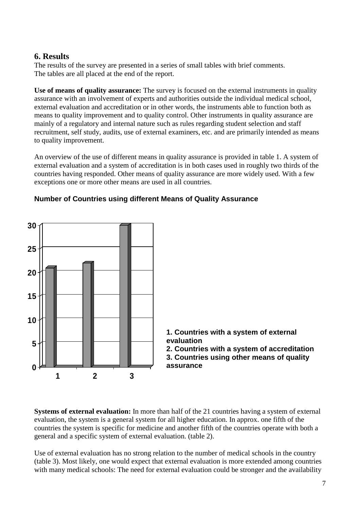### **6. Results**

The results of the survey are presented in a series of small tables with brief comments. The tables are all placed at the end of the report.

Use of means of quality assurance: The survey is focused on the external instruments in quality assurance with an involvement of experts and authorities outside the individual medical school, external evaluation and accreditation or in other words, the instruments able to function both as means to quality improvement and to quality control. Other instruments in quality assurance are mainly of a regulatory and internal nature such as rules regarding student selection and staff recruitment, self study, audits, use of external examiners, etc. and are primarily intended as means to quality improvement.

An overview of the use of different means in quality assurance is provided in table 1. A system of external evaluation and a system of accreditation is in both cases used in roughly two thirds of the countries having responded. Other means of quality assurance are more widely used. With a few exceptions one or more other means are used in all countries.



#### **Number of Countries using different Means of Quality Assurance**

**Systems of external evaluation:** In more than half of the 21 countries having a system of external evaluation, the system is a general system for all higher education. In approx. one fifth of the countries the system is specific for medicine and another fifth of the countries operate with both a general and a specific system of external evaluation. (table 2).

Use of external evaluation has no strong relation to the number of medical schools in the country (table 3). Most likely, one would expect that external evaluation is more extended among countries with many medical schools: The need for external evaluation could be stronger and the availability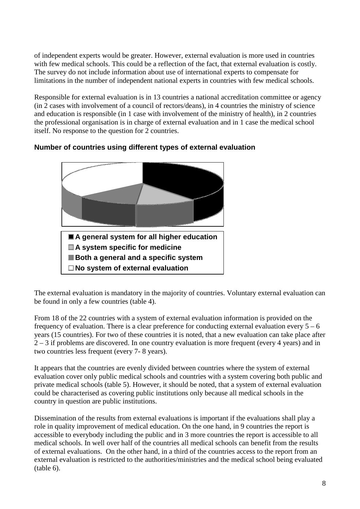of independent experts would be greater. However, external evaluation is more used in countries with few medical schools. This could be a reflection of the fact, that external evaluation is costly. The survey do not include information about use of international experts to compensate for limitations in the number of independent national experts in countries with few medical schools.

Responsible for external evaluation is in 13 countries a national accreditation committee or agency (in 2 cases with involvement of a council of rectors/deans), in 4 countries the ministry of science and education is responsible (in 1 case with involvement of the ministry of health), in 2 countries the professional organisation is in charge of external evaluation and in 1 case the medical school itself. No response to the question for 2 countries.



### **Number of countries using different types of external evaluation**

The external evaluation is mandatory in the majority of countries. Voluntary external evaluation can be found in only a few countries (table 4).

From 18 of the 22 countries with a system of external evaluation information is provided on the frequency of evaluation. There is a clear preference for conducting external evaluation every  $5 - 6$ years (15 countries). For two of these countries it is noted, that a new evaluation can take place after 2 – 3 if problems are discovered. In one country evaluation is more frequent (every 4 years) and in two countries less frequent (every 7- 8 years).

It appears that the countries are evenly divided between countries where the system of external evaluation cover only public medical schools and countries with a system covering both public and private medical schools (table 5). However, it should be noted, that a system of external evaluation could be characterised as covering public institutions only because all medical schools in the country in question are public institutions.

Dissemination of the results from external evaluations is important if the evaluations shall play a role in quality improvement of medical education. On the one hand, in 9 countries the report is accessible to everybody including the public and in 3 more countries the report is accessible to all medical schools. In well over half of the countries all medical schools can benefit from the results of external evaluations. On the other hand, in a third of the countries access to the report from an external evaluation is restricted to the authorities/ministries and the medical school being evaluated (table 6).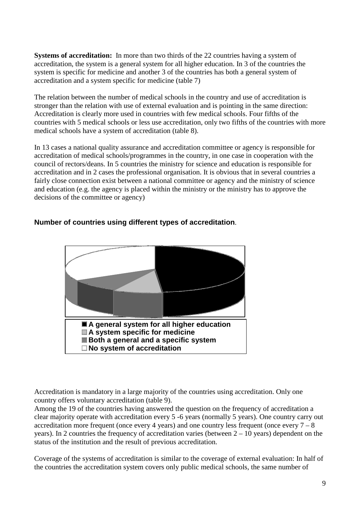**Systems of accreditation:** In more than two thirds of the 22 countries having a system of accreditation, the system is a general system for all higher education. In 3 of the countries the system is specific for medicine and another 3 of the countries has both a general system of accreditation and a system specific for medicine (table 7)

The relation between the number of medical schools in the country and use of accreditation is stronger than the relation with use of external evaluation and is pointing in the same direction: Accreditation is clearly more used in countries with few medical schools. Four fifths of the countries with 5 medical schools or less use accreditation, only two fifths of the countries with more medical schools have a system of accreditation (table 8).

In 13 cases a national quality assurance and accreditation committee or agency is responsible for accreditation of medical schools/programmes in the country, in one case in cooperation with the council of rectors/deans. In 5 countries the ministry for science and education is responsible for accreditation and in 2 cases the professional organisation. It is obvious that in several countries a fairly close connection exist between a national committee or agency and the ministry of science and education (e.g. the agency is placed within the ministry or the ministry has to approve the decisions of the committee or agency)



#### **Number of countries using different types of accreditation**.

Accreditation is mandatory in a large majority of the countries using accreditation. Only one country offers voluntary accreditation (table 9).

Among the 19 of the countries having answered the question on the frequency of accreditation a clear majority operate with accreditation every 5 -6 years (normally 5 years). One country carry out accreditation more frequent (once every 4 years) and one country less frequent (once every  $7 - 8$ ) years). In 2 countries the frequency of accreditation varies (between 2 – 10 years) dependent on the status of the institution and the result of previous accreditation.

Coverage of the systems of accreditation is similar to the coverage of external evaluation: In half of the countries the accreditation system covers only public medical schools, the same number of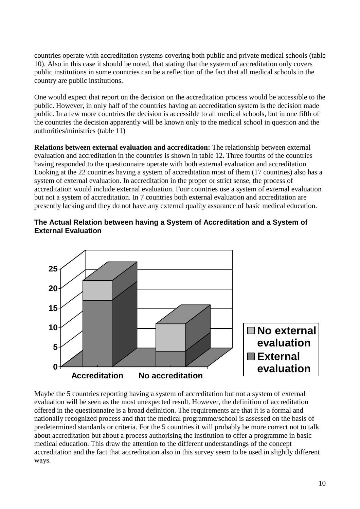countries operate with accreditation systems covering both public and private medical schools (table 10). Also in this case it should be noted, that stating that the system of accreditation only covers public institutions in some countries can be a reflection of the fact that all medical schools in the country are public institutions.

One would expect that report on the decision on the accreditation process would be accessible to the public. However, in only half of the countries having an accreditation system is the decision made public. In a few more countries the decision is accessible to all medical schools, but in one fifth of the countries the decision apparently will be known only to the medical school in question and the authorities/ministries (table 11)

**Relations between external evaluation and accreditation:** The relationship between external evaluation and accreditation in the countries is shown in table 12. Three fourths of the countries having responded to the questionnaire operate with both external evaluation and accreditation. Looking at the 22 countries having a system of accreditation most of them (17 countries) also has a system of external evaluation. In accreditation in the proper or strict sense, the process of accreditation would include external evaluation. Four countries use a system of external evaluation but not a system of accreditation. In 7 countries both external evaluation and accreditation are presently lacking and they do not have any external quality assurance of basic medical education.

# **0 5 10 15 20 25 Accreditation No accreditation No external evaluation External evaluation**

#### **The Actual Relation between having a System of Accreditation and a System of External Evaluation**

Maybe the 5 countries reporting having a system of accreditation but not a system of external evaluation will be seen as the most unexpected result. However, the definition of accreditation offered in the questionnaire is a broad definition. The requirements are that it is a formal and nationally recognized process and that the medical programme/school is assessed on the basis of predetermined standards or criteria. For the 5 countries it will probably be more correct not to talk about accreditation but about a process authorising the institution to offer a programme in basic medical education. This draw the attention to the different understandings of the concept accreditation and the fact that accreditation also in this survey seem to be used in slightly different ways.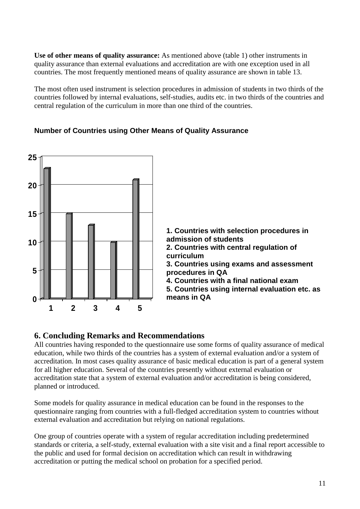**Use of other means of quality assurance:** As mentioned above (table 1) other instruments in quality assurance than external evaluations and accreditation are with one exception used in all countries. The most frequently mentioned means of quality assurance are shown in table 13.

The most often used instrument is selection procedures in admission of students in two thirds of the countries followed by internal evaluations, self-studies, audits etc. in two thirds of the countries and central regulation of the curriculum in more than one third of the countries.



#### **Number of Countries using Other Means of Quality Assurance**

#### **6. Concluding Remarks and Recommendations**

All countries having responded to the questionnaire use some forms of quality assurance of medical education, while two thirds of the countries has a system of external evaluation and/or a system of accreditation. In most cases quality assurance of basic medical education is part of a general system for all higher education. Several of the countries presently without external evaluation or accreditation state that a system of external evaluation and/or accreditation is being considered, planned or introduced.

Some models for quality assurance in medical education can be found in the responses to the questionnaire ranging from countries with a full-fledged accreditation system to countries without external evaluation and accreditation but relying on national regulations.

One group of countries operate with a system of regular accreditation including predetermined standards or criteria, a self-study, external evaluation with a site visit and a final report accessible to the public and used for formal decision on accreditation which can result in withdrawing accreditation or putting the medical school on probation for a specified period.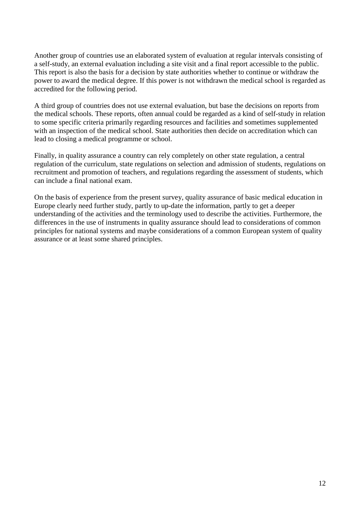Another group of countries use an elaborated system of evaluation at regular intervals consisting of a self-study, an external evaluation including a site visit and a final report accessible to the public. This report is also the basis for a decision by state authorities whether to continue or withdraw the power to award the medical degree. If this power is not withdrawn the medical school is regarded as accredited for the following period.

A third group of countries does not use external evaluation, but base the decisions on reports from the medical schools. These reports, often annual could be regarded as a kind of self-study in relation to some specific criteria primarily regarding resources and facilities and sometimes supplemented with an inspection of the medical school. State authorities then decide on accreditation which can lead to closing a medical programme or school.

Finally, in quality assurance a country can rely completely on other state regulation, a central regulation of the curriculum, state regulations on selection and admission of students, regulations on recruitment and promotion of teachers, and regulations regarding the assessment of students, which can include a final national exam.

On the basis of experience from the present survey, quality assurance of basic medical education in Europe clearly need further study, partly to up-date the information, partly to get a deeper understanding of the activities and the terminology used to describe the activities. Furthermore, the differences in the use of instruments in quality assurance should lead to considerations of common principles for national systems and maybe considerations of a common European system of quality assurance or at least some shared principles.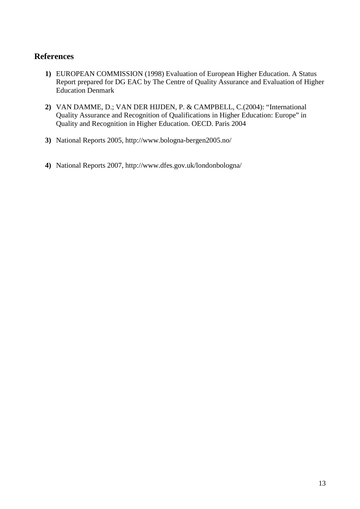### **References**

- **1)** EUROPEAN COMMISSION (1998) Evaluation of European Higher Education. A Status Report prepared for DG EAC by The Centre of Quality Assurance and Evaluation of Higher Education Denmark
- **2)** VAN DAMME, D.; VAN DER HIJDEN, P. & CAMPBELL, C.(2004): "International Quality Assurance and Recognition of Qualifications in Higher Education: Europe" in Quality and Recognition in Higher Education. OECD. Paris 2004
- **3)** National Reports 2005, http://www.bologna-bergen2005.no/
- **4)** National Reports 2007, http://www.dfes.gov.uk/londonbologna/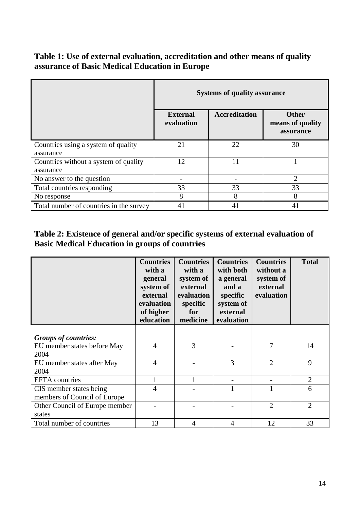### **Table 1: Use of external evaluation, accreditation and other means of quality assurance of Basic Medical Education in Europe**

|                                                    | <b>Systems of quality assurance</b> |                      |                                               |  |
|----------------------------------------------------|-------------------------------------|----------------------|-----------------------------------------------|--|
|                                                    | <b>External</b><br>evaluation       | <b>Accreditation</b> | <b>Other</b><br>means of quality<br>assurance |  |
| Countries using a system of quality<br>assurance   | 21                                  | 22                   | 30                                            |  |
| Countries without a system of quality<br>assurance | 12                                  | 11                   |                                               |  |
| No answer to the question                          |                                     |                      | $\overline{2}$                                |  |
| Total countries responding                         | 33                                  | 33                   | 33                                            |  |
| No response                                        | 8                                   | 8                    | 8                                             |  |
| Total number of countries in the survey            | 41                                  | 41                   | 41                                            |  |

# **Table 2: Existence of general and/or specific systems of external evaluation of Basic Medical Education in groups of countries**

|                                                            | <b>Countries</b><br>with a<br>general<br>system of<br>external<br>evaluation<br>of higher<br>education | <b>Countries</b><br>with a<br>system of<br>external<br>evaluation<br>specific<br>for<br>medicine | <b>Countries</b><br>with both<br>a general<br>and a<br>specific<br>system of<br>external<br>evaluation | <b>Countries</b><br>without a<br>system of<br>external<br>evaluation | <b>Total</b>   |
|------------------------------------------------------------|--------------------------------------------------------------------------------------------------------|--------------------------------------------------------------------------------------------------|--------------------------------------------------------------------------------------------------------|----------------------------------------------------------------------|----------------|
| <b>Groups of countries:</b><br>EU member states before May | $\overline{4}$                                                                                         | 3                                                                                                |                                                                                                        | 7                                                                    | 14             |
| 2004<br>EU member states after May<br>2004                 | $\overline{4}$                                                                                         |                                                                                                  | 3                                                                                                      | $\overline{2}$                                                       | 9              |
| <b>EFTA</b> countries                                      |                                                                                                        |                                                                                                  |                                                                                                        |                                                                      | $\overline{2}$ |
| CIS member states being<br>members of Council of Europe    | 4                                                                                                      |                                                                                                  |                                                                                                        |                                                                      | 6              |
| Other Council of Europe member<br>states                   |                                                                                                        |                                                                                                  |                                                                                                        | $\overline{2}$                                                       | $\overline{2}$ |
| Total number of countries                                  | 13                                                                                                     | $\overline{A}$                                                                                   | $\overline{A}$                                                                                         | 12                                                                   | 33             |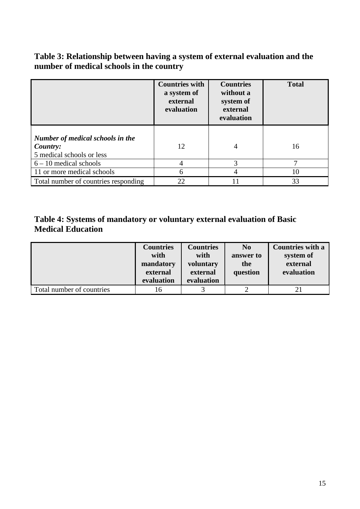# **Table 3: Relationship between having a system of external evaluation and the number of medical schools in the country**

|                                                                           | <b>Countries with</b><br>a system of<br>external<br>evaluation | <b>Countries</b><br>without a<br>system of<br>external<br>evaluation | <b>Total</b> |
|---------------------------------------------------------------------------|----------------------------------------------------------------|----------------------------------------------------------------------|--------------|
| Number of medical schools in the<br>Country:<br>5 medical schools or less | 12                                                             | 4                                                                    | 16           |
| $6 - 10$ medical schools                                                  | 4                                                              | 3                                                                    | 7            |
| 11 or more medical schools                                                | 6                                                              |                                                                      | 10           |
| Total number of countries responding                                      | 22                                                             |                                                                      | 33           |

## **Table 4: Systems of mandatory or voluntary external evaluation of Basic Medical Education**

|                           | <b>Countries</b><br>with<br>mandatory<br>external<br>evaluation | <b>Countries</b><br>with<br>voluntary<br>external<br>evaluation | N <sub>0</sub><br>answer to<br>the<br>question | <b>Countries with a</b><br>system of<br>external<br>evaluation |
|---------------------------|-----------------------------------------------------------------|-----------------------------------------------------------------|------------------------------------------------|----------------------------------------------------------------|
| Total number of countries | 16                                                              |                                                                 |                                                |                                                                |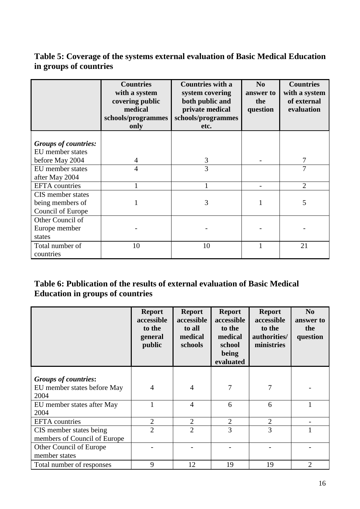# **Table 5: Coverage of the systems external evaluation of Basic Medical Education in groups of countries**

|                                                            | <b>Countries</b><br>with a system<br>covering public<br>medical<br>schools/programmes<br>only | <b>Countries with a</b><br>system covering<br>both public and<br>private medical<br>schools/programmes<br>etc. | N <sub>0</sub><br>answer to<br>the<br>question | <b>Countries</b><br>with a system<br>of external<br>evaluation |
|------------------------------------------------------------|-----------------------------------------------------------------------------------------------|----------------------------------------------------------------------------------------------------------------|------------------------------------------------|----------------------------------------------------------------|
| <b>Groups of countries:</b><br>EU member states            |                                                                                               |                                                                                                                |                                                |                                                                |
| before May 2004                                            | 4                                                                                             | 3                                                                                                              |                                                | 7                                                              |
| EU member states<br>after May 2004                         | $\overline{4}$                                                                                | 3                                                                                                              |                                                | 7                                                              |
| <b>EFTA</b> countries                                      | 1                                                                                             |                                                                                                                |                                                | $\overline{2}$                                                 |
| CIS member states<br>being members of<br>Council of Europe |                                                                                               | 3                                                                                                              |                                                | 5                                                              |
| Other Council of<br>Europe member<br>states                |                                                                                               |                                                                                                                |                                                |                                                                |
| Total number of<br>countries                               | 10                                                                                            | 10                                                                                                             |                                                | 21                                                             |

# **Table 6: Publication of the results of external evaluation of Basic Medical Education in groups of countries**

|                                                         | <b>Report</b><br>accessible<br>to the<br>general<br>public | <b>Report</b><br>accessible<br>to all<br>medical<br>schools | <b>Report</b><br>accessible<br>to the<br>medical<br>school<br>being<br>evaluated | <b>Report</b><br>accessible<br>to the<br>authorities/<br>ministries | $\bf No$<br>answer to<br>the<br>question |
|---------------------------------------------------------|------------------------------------------------------------|-------------------------------------------------------------|----------------------------------------------------------------------------------|---------------------------------------------------------------------|------------------------------------------|
| <b>Groups of countries:</b>                             |                                                            |                                                             |                                                                                  |                                                                     |                                          |
| EU member states before May<br>2004                     | $\overline{4}$                                             | $\overline{4}$                                              | 7                                                                                | 7                                                                   |                                          |
| EU member states after May<br>2004                      |                                                            | $\overline{4}$                                              | 6                                                                                | 6                                                                   |                                          |
| <b>EFTA</b> countries                                   | $\overline{2}$                                             | $\overline{2}$                                              | $\overline{2}$                                                                   | $\overline{2}$                                                      |                                          |
| CIS member states being<br>members of Council of Europe | $\overline{2}$                                             | $\overline{2}$                                              | 3                                                                                | 3                                                                   |                                          |
| Other Council of Europe<br>member states                |                                                            |                                                             |                                                                                  |                                                                     |                                          |
| Total number of responses                               | 9                                                          | 12                                                          | 19                                                                               | 19                                                                  | 2                                        |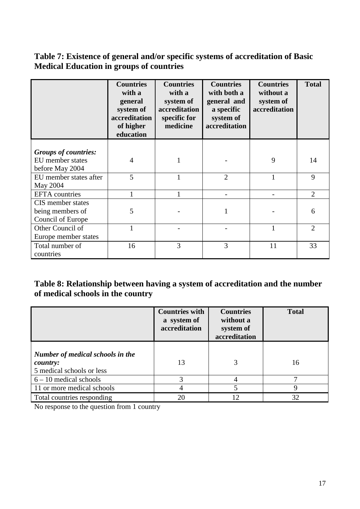### **Table 7: Existence of general and/or specific systems of accreditation of Basic Medical Education in groups of countries**

|                                                            | <b>Countries</b><br>with a<br>general<br>system of<br>accreditation<br>of higher<br>education | <b>Countries</b><br>with a<br>system of<br>accreditation<br>specific for<br>medicine | <b>Countries</b><br>with both a<br>general and<br>a specific<br>system of<br>accreditation | <b>Countries</b><br>without a<br>system of<br>accreditation | <b>Total</b>   |
|------------------------------------------------------------|-----------------------------------------------------------------------------------------------|--------------------------------------------------------------------------------------|--------------------------------------------------------------------------------------------|-------------------------------------------------------------|----------------|
| <b>Groups of countries:</b>                                |                                                                                               |                                                                                      |                                                                                            |                                                             |                |
| EU member states<br>before May 2004                        | 4                                                                                             |                                                                                      |                                                                                            | 9                                                           | 14             |
| EU member states after<br>May 2004                         | 5                                                                                             | 1                                                                                    | $\overline{2}$                                                                             | 1                                                           | 9              |
| EFTA countries                                             |                                                                                               |                                                                                      |                                                                                            |                                                             | $\overline{2}$ |
| CIS member states<br>being members of<br>Council of Europe | 5                                                                                             |                                                                                      |                                                                                            |                                                             | 6              |
| Other Council of<br>Europe member states                   |                                                                                               |                                                                                      |                                                                                            |                                                             | $\mathfrak{D}$ |
| Total number of<br>countries                               | 16                                                                                            | 3                                                                                    | 3                                                                                          | 11                                                          | 33             |

# **Table 8: Relationship between having a system of accreditation and the number of medical schools in the country**

|                                                                           | <b>Countries with</b><br>a system of<br>accreditation | <b>Countries</b><br>without a<br>system of<br>accreditation | <b>Total</b> |
|---------------------------------------------------------------------------|-------------------------------------------------------|-------------------------------------------------------------|--------------|
| Number of medical schools in the<br>country:<br>5 medical schools or less | 13                                                    |                                                             | 16           |
| $6 - 10$ medical schools                                                  | 3                                                     |                                                             | −            |
| 11 or more medical schools                                                | 4                                                     | 5                                                           | 9            |
| Total countries responding                                                | 20                                                    | 12.                                                         | 32           |

No response to the question from 1 country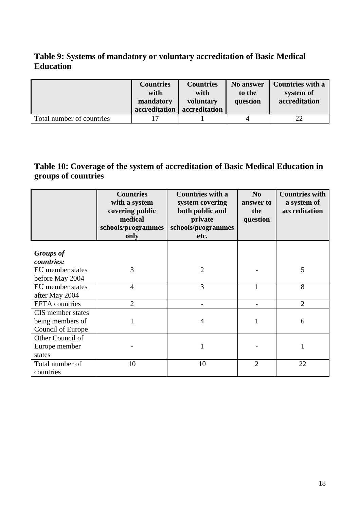### **Table 9: Systems of mandatory or voluntary accreditation of Basic Medical Education**

|                           | <b>Countries</b><br>with<br>mandatory<br>accreditation | <b>Countries</b><br>with<br>voluntary<br>accreditation | No answer<br>to the<br>question | <b>Countries with a</b><br>system of<br>accreditation |
|---------------------------|--------------------------------------------------------|--------------------------------------------------------|---------------------------------|-------------------------------------------------------|
| Total number of countries |                                                        |                                                        | 4                               | າາ                                                    |

# **Table 10: Coverage of the system of accreditation of Basic Medical Education in groups of countries**

|                                                            | <b>Countries</b><br>with a system<br>covering public<br>medical<br>schools/programmes<br>only | <b>Countries with a</b><br>system covering<br>both public and<br>private<br>schools/programmes<br>etc. | N <sub>0</sub><br>answer to<br>the<br>question | <b>Countries with</b><br>a system of<br>accreditation |
|------------------------------------------------------------|-----------------------------------------------------------------------------------------------|--------------------------------------------------------------------------------------------------------|------------------------------------------------|-------------------------------------------------------|
| <b>Groups</b> of<br>countries:                             |                                                                                               |                                                                                                        |                                                |                                                       |
| EU member states<br>before May 2004                        | 3                                                                                             | $\overline{2}$                                                                                         |                                                | 5                                                     |
| EU member states<br>after May 2004                         | $\overline{4}$                                                                                | 3                                                                                                      | 1                                              | 8                                                     |
| <b>EFTA</b> countries                                      | $\overline{2}$                                                                                |                                                                                                        |                                                | $\overline{2}$                                        |
| CIS member states<br>being members of<br>Council of Europe | 1                                                                                             | 4                                                                                                      |                                                | 6                                                     |
| Other Council of<br>Europe member<br>states                |                                                                                               |                                                                                                        |                                                |                                                       |
| Total number of<br>countries                               | 10                                                                                            | 10                                                                                                     | $\overline{2}$                                 | 22                                                    |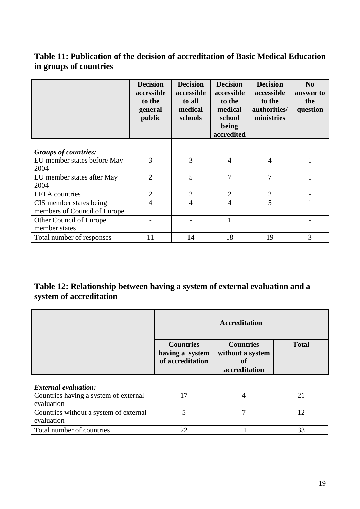### **Table 11: Publication of the decision of accreditation of Basic Medical Education in groups of countries**

|                                                         | <b>Decision</b><br>accessible<br>to the<br>general<br>public | <b>Decision</b><br>accessible<br>to all<br>medical<br>schools | <b>Decision</b><br>accessible<br>to the<br>medical<br>school<br>being<br>accredited | <b>Decision</b><br>accessible<br>to the<br>authorities/<br>ministries | $\mathbf{N}\mathbf{0}$<br>answer to<br>the<br>question |
|---------------------------------------------------------|--------------------------------------------------------------|---------------------------------------------------------------|-------------------------------------------------------------------------------------|-----------------------------------------------------------------------|--------------------------------------------------------|
| <b>Groups of countries:</b>                             |                                                              |                                                               |                                                                                     |                                                                       |                                                        |
| EU member states before May<br>2004                     | 3                                                            | 3                                                             | 4                                                                                   | 4                                                                     |                                                        |
| EU member states after May<br>2004                      | $\overline{2}$                                               | 5                                                             | $\overline{7}$                                                                      | 7                                                                     |                                                        |
| <b>EFTA</b> countries                                   | $\overline{2}$                                               | $\overline{2}$                                                | $\overline{2}$                                                                      | $\overline{2}$                                                        |                                                        |
| CIS member states being<br>members of Council of Europe | 4                                                            | 4                                                             | $\overline{4}$                                                                      | 5                                                                     |                                                        |
| Other Council of Europe<br>member states                |                                                              |                                                               | 1                                                                                   |                                                                       |                                                        |
| Total number of responses                               | 11                                                           | 14                                                            | 18                                                                                  | 19                                                                    | 3                                                      |

# **Table 12: Relationship between having a system of external evaluation and a system of accreditation**

|                                                                      | <b>Accreditation</b>                                                                                                                   |   |    |  |  |
|----------------------------------------------------------------------|----------------------------------------------------------------------------------------------------------------------------------------|---|----|--|--|
|                                                                      | <b>Total</b><br><b>Countries</b><br><b>Countries</b><br>without a system<br>having a system<br>of accreditation<br>of<br>accreditation |   |    |  |  |
| <b>External evaluation:</b><br>Countries having a system of external | 17                                                                                                                                     | 4 | 21 |  |  |
| evaluation<br>Countries without a system of external<br>evaluation   | 5                                                                                                                                      | 7 | 12 |  |  |
| Total number of countries                                            | 22                                                                                                                                     |   | 33 |  |  |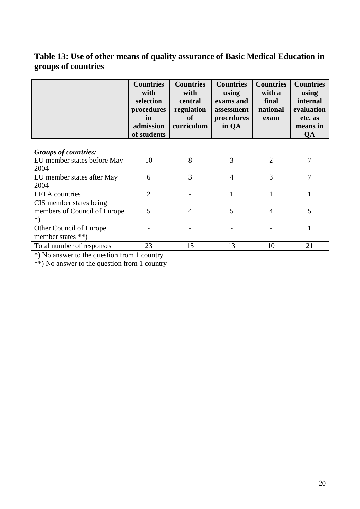# **Table 13: Use of other means of quality assurance of Basic Medical Education in groups of countries**

|                                                               | <b>Countries</b><br>with<br>selection<br>procedures<br>in<br>admission<br>of students | <b>Countries</b><br>with<br>central<br>regulation<br>of<br>curriculum | <b>Countries</b><br>using<br>exams and<br>assessment<br>procedures<br>in QA | <b>Countries</b><br>with a<br>final<br>national<br>exam | <b>Countries</b><br>using<br>internal<br>evaluation<br>etc. as<br>means in<br>QA |
|---------------------------------------------------------------|---------------------------------------------------------------------------------------|-----------------------------------------------------------------------|-----------------------------------------------------------------------------|---------------------------------------------------------|----------------------------------------------------------------------------------|
| <b>Groups of countries:</b>                                   |                                                                                       |                                                                       |                                                                             |                                                         |                                                                                  |
| EU member states before May<br>2004                           | 10                                                                                    | 8                                                                     | 3                                                                           | $\overline{2}$                                          | 7                                                                                |
| EU member states after May<br>2004                            | 6                                                                                     | 3                                                                     | $\overline{4}$                                                              | 3                                                       | 7                                                                                |
| <b>EFTA</b> countries                                         | 2                                                                                     |                                                                       | 1                                                                           | 1                                                       |                                                                                  |
| CIS member states being<br>members of Council of Europe<br>*) | 5                                                                                     | 4                                                                     | 5                                                                           | 4                                                       | 5                                                                                |
| Other Council of Europe<br>member states **)                  |                                                                                       |                                                                       |                                                                             |                                                         |                                                                                  |
| Total number of responses                                     | 23                                                                                    | 15                                                                    | 13                                                                          | 10                                                      | 21                                                                               |

\*) No answer to the question from 1 country

\*\*) No answer to the question from 1 country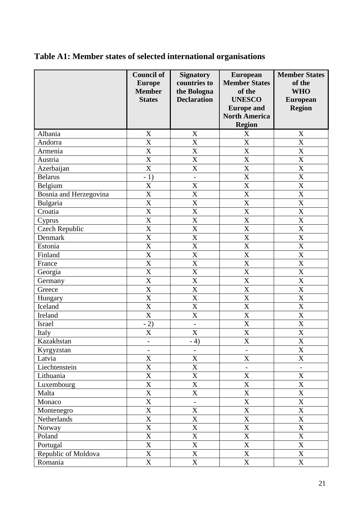# **Table A1: Member states of selected international organisations**

|                        | <b>Council of</b><br><b>Europe</b><br><b>Member</b><br><b>States</b> | <b>Signatory</b><br>countries to<br>the Bologna<br><b>Declaration</b> | <b>European</b><br><b>Member States</b><br>of the<br><b>UNESCO</b><br><b>Europe and</b><br><b>North America</b><br><b>Region</b> | <b>Member States</b><br>of the<br><b>WHO</b><br><b>European</b><br><b>Region</b> |
|------------------------|----------------------------------------------------------------------|-----------------------------------------------------------------------|----------------------------------------------------------------------------------------------------------------------------------|----------------------------------------------------------------------------------|
| Albania                | X                                                                    | X                                                                     | X                                                                                                                                | $\mathbf X$                                                                      |
| Andorra                | $\overline{\text{X}}$                                                | $\overline{\text{X}}$                                                 | X                                                                                                                                | X                                                                                |
| Armenia                | $\overline{\text{X}}$                                                | $\overline{\text{X}}$                                                 | $\overline{\text{X}}$                                                                                                            | $\overline{\text{X}}$                                                            |
| Austria                | X                                                                    | $\mathbf X$                                                           | X                                                                                                                                | $\boldsymbol{\mathrm{X}}$                                                        |
| Azerbaijan             | X                                                                    | X                                                                     | X                                                                                                                                | $\boldsymbol{\mathrm{X}}$                                                        |
| <b>Belarus</b>         | $-1)$                                                                | $\qquad \qquad -$                                                     | X                                                                                                                                | $\mathbf X$                                                                      |
| Belgium                | X                                                                    | X                                                                     | X                                                                                                                                | X                                                                                |
| Bosnia and Herzegovina | X                                                                    | X                                                                     | X                                                                                                                                | X                                                                                |
| Bulgaria               | X                                                                    | $\mathbf X$                                                           | X                                                                                                                                | X                                                                                |
| Croatia                | $\overline{\text{X}}$                                                | $\overline{\text{X}}$                                                 | X                                                                                                                                | $\overline{\text{X}}$                                                            |
| Cyprus                 | X                                                                    | X                                                                     | X                                                                                                                                | X                                                                                |
| <b>Czech Republic</b>  | X                                                                    | X                                                                     | X                                                                                                                                | X                                                                                |
| Denmark                | X                                                                    | X                                                                     | X                                                                                                                                | $\mathbf X$                                                                      |
| Estonia                | X                                                                    | $\mathbf X$                                                           | X                                                                                                                                | $\overline{\mathbf{X}}$                                                          |
| Finland                | $\overline{\text{X}}$                                                | $\overline{\text{X}}$                                                 | X                                                                                                                                | $\boldsymbol{\mathrm{X}}$                                                        |
| France                 | $\overline{\text{X}}$                                                | $\overline{\mathbf{X}}$                                               | $\overline{\text{X}}$                                                                                                            | $\overline{X}$                                                                   |
| Georgia                | X                                                                    | X                                                                     | X                                                                                                                                | $\boldsymbol{\mathrm{X}}$                                                        |
| Germany                | $\overline{\text{X}}$                                                | $\overline{\text{X}}$                                                 | X                                                                                                                                | X                                                                                |
| Greece                 | X                                                                    | X                                                                     | X                                                                                                                                | $\mathbf X$                                                                      |
| Hungary                | X                                                                    | X                                                                     | X                                                                                                                                | X                                                                                |
| Iceland                | $\overline{\text{X}}$                                                | $\overline{\text{X}}$                                                 | X                                                                                                                                | X                                                                                |
| Ireland                | $\overline{\text{X}}$                                                | X                                                                     | X                                                                                                                                | X                                                                                |
| <b>Israel</b>          | $-2)$                                                                | $\frac{1}{2}$                                                         | X                                                                                                                                | $\overline{\text{X}}$                                                            |
| Italy                  | X                                                                    | X                                                                     | X                                                                                                                                | X                                                                                |
| Kazakhstan             | $\qquad \qquad -$                                                    | $-4)$                                                                 | X                                                                                                                                | X                                                                                |
| Kyrgyzstan             | $\overline{\phantom{0}}$                                             | $\overline{\phantom{0}}$                                              |                                                                                                                                  | $\mathbf X$                                                                      |
| Latvia                 | $\mathbf X$                                                          | X                                                                     | $\mathbf X$                                                                                                                      | $\overline{X}$                                                                   |
| Liechtenstein          | $\mathbf X$                                                          | X                                                                     | $\qquad \qquad -$                                                                                                                |                                                                                  |
| Lithuania              | $\overline{X}$                                                       | $\overline{\text{X}}$                                                 | $\overline{\text{X}}$                                                                                                            | $\overline{\mathbf{X}}$                                                          |
| Luxembourg             | $\overline{\text{X}}$                                                | X                                                                     | $\mathbf X$                                                                                                                      | $\mathbf X$                                                                      |
| Malta                  | $\overline{\mathrm{X}}$                                              | $\overline{\text{X}}$                                                 | $\overline{\text{X}}$                                                                                                            | $\overline{\mathbf{X}}$                                                          |
|                        | $\overline{X}$                                                       |                                                                       | $\mathbf X$                                                                                                                      | $\overline{X}$                                                                   |
| Monaco                 | $\mathbf X$                                                          | $\blacksquare$<br>$\mathbf X$                                         | $\mathbf X$                                                                                                                      | $\mathbf X$                                                                      |
| Montenegro             |                                                                      |                                                                       |                                                                                                                                  |                                                                                  |
| Netherlands            | $\overline{\text{X}}$                                                | X<br>$\overline{X}$                                                   | $\mathbf X$                                                                                                                      | $\overline{X}$                                                                   |
| Norway                 | $\overline{\text{X}}$<br>$\overline{\text{X}}$                       | $\overline{\text{X}}$                                                 | $\mathbf X$                                                                                                                      | $\mathbf X$<br>$\overline{\text{X}}$                                             |
| Poland                 |                                                                      |                                                                       | $\mathbf X$                                                                                                                      |                                                                                  |
| Portugal               | $\overline{\text{X}}$                                                | $\overline{\text{X}}$                                                 | $\mathbf X$                                                                                                                      | $\overline{\textbf{X}}$                                                          |
| Republic of Moldova    | $\overline{\text{X}}$                                                | $\mathbf X$                                                           | $\mathbf X$                                                                                                                      | $\overline{\textbf{X}}$                                                          |
| Romania                | $\mathbf X$                                                          | $\overline{X}$                                                        | $\mathbf X$                                                                                                                      | $\overline{X}$                                                                   |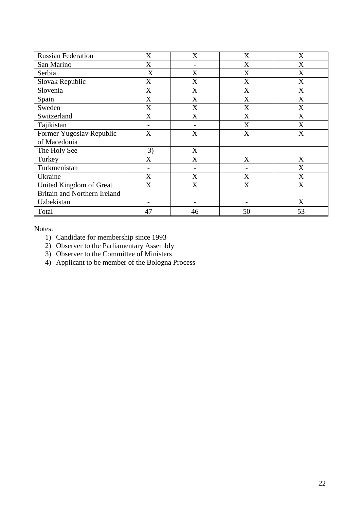| <b>Russian Federation</b>    | X              | X  | X                         | X                         |
|------------------------------|----------------|----|---------------------------|---------------------------|
| San Marino                   | X              |    | X                         | X                         |
| Serbia                       | X              | X  | $\boldsymbol{\mathrm{X}}$ | X                         |
| Slovak Republic              | X              | X  | X                         | X                         |
| Slovenia                     | X              | X  | X                         | X                         |
| Spain                        | X              | X  | X                         | X                         |
| Sweden                       | X              | X  | X                         | $\boldsymbol{\mathrm{X}}$ |
| Switzerland                  | X              | X  | X                         | X                         |
| Tajikistan                   |                |    | X                         | X                         |
| Former Yugoslav Republic     | X              | X  | X                         | X                         |
| of Macedonia                 |                |    |                           |                           |
| The Holy See                 | $-3)$          | X  |                           | $\overline{\phantom{0}}$  |
| Turkey                       | X              | X  | X                         | X                         |
| Turkmenistan                 | $\overline{a}$ |    |                           | X                         |
| Ukraine                      | X              | X  | X                         | X                         |
| United Kingdom of Great      | X              | X  | X                         | X                         |
| Britain and Northern Ireland |                |    |                           |                           |
| Uzbekistan                   |                |    |                           | X                         |
| Total                        | 47             | 46 | 50                        | 53                        |

Notes:

- 1) Candidate for membership since 1993
- 2) Observer to the Parliamentary Assembly
- 3) Observer to the Committee of Ministers
- 4) Applicant to be member of the Bologna Process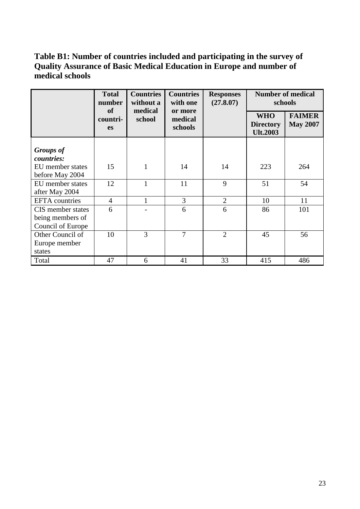## **Table B1: Number of countries included and participating in the survey of Quality Assurance of Basic Medical Education in Europe and number of medical schools**

|                                                            | <b>Total</b><br>number<br>of | <b>Countries</b><br>without a<br>medical | <b>Countries</b><br>with one  | <b>Responses</b><br>(27.8.07) | <b>Number of medical</b><br>schools               |                                  |
|------------------------------------------------------------|------------------------------|------------------------------------------|-------------------------------|-------------------------------|---------------------------------------------------|----------------------------------|
|                                                            | countri-<br><b>es</b>        | school                                   | or more<br>medical<br>schools |                               | <b>WHO</b><br><b>Directory</b><br><b>Ult.2003</b> | <b>FAIMER</b><br><b>May 2007</b> |
| <b>Groups</b> of<br>countries:                             |                              |                                          |                               |                               |                                                   |                                  |
| EU member states<br>before May 2004                        | 15                           | $\mathbf{1}$                             | 14                            | 14                            | 223                                               | 264                              |
| EU member states<br>after May 2004                         | 12                           | $\mathbf{1}$                             | 11                            | 9                             | 51                                                | 54                               |
| <b>EFTA</b> countries                                      | $\overline{4}$               | 1                                        | 3                             | $\overline{2}$                | 10                                                | 11                               |
| CIS member states<br>being members of<br>Council of Europe | 6                            |                                          | 6                             | 6                             | 86                                                | 101                              |
| Other Council of<br>Europe member<br>states                | 10                           | 3                                        | $\overline{7}$                | $\overline{2}$                | 45                                                | 56                               |
| Total                                                      | 47                           | 6                                        | 41                            | 33                            | 415                                               | 486                              |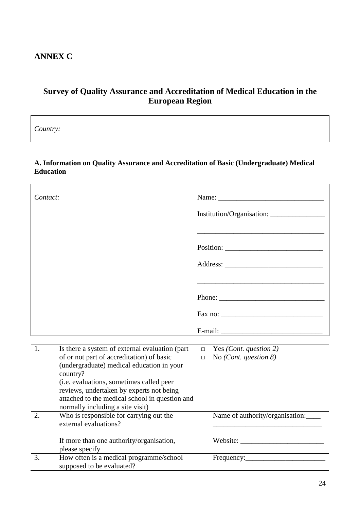## **ANNEX C**

# **Survey of Quality Assurance and Accreditation of Medical Education in the European Region**

*Country:* 

#### **A. Information on Quality Assurance and Accreditation of Basic (Undergraduate) Medical Education**

| Contact: |                                                                                                                                        |        | Name: Name and the same state of the same state of the same state of the same state of the same state of the same state of the same state of the same state of the same state of the same state of the same state of the same                                                                                                                                                                                |
|----------|----------------------------------------------------------------------------------------------------------------------------------------|--------|--------------------------------------------------------------------------------------------------------------------------------------------------------------------------------------------------------------------------------------------------------------------------------------------------------------------------------------------------------------------------------------------------------------|
|          |                                                                                                                                        |        | Institution/Organisation:                                                                                                                                                                                                                                                                                                                                                                                    |
|          |                                                                                                                                        |        |                                                                                                                                                                                                                                                                                                                                                                                                              |
|          |                                                                                                                                        |        |                                                                                                                                                                                                                                                                                                                                                                                                              |
|          |                                                                                                                                        |        |                                                                                                                                                                                                                                                                                                                                                                                                              |
|          |                                                                                                                                        |        | Phone: $\frac{1}{\sqrt{1-\frac{1}{2}}\sqrt{1-\frac{1}{2}}\sqrt{1-\frac{1}{2}}\sqrt{1-\frac{1}{2}}\sqrt{1-\frac{1}{2}}\sqrt{1-\frac{1}{2}}\sqrt{1-\frac{1}{2}}\sqrt{1-\frac{1}{2}}\sqrt{1-\frac{1}{2}}\sqrt{1-\frac{1}{2}}\sqrt{1-\frac{1}{2}}\sqrt{1-\frac{1}{2}}\sqrt{1-\frac{1}{2}}\sqrt{1-\frac{1}{2}}\sqrt{1-\frac{1}{2}}\sqrt{1-\frac{1}{2}}\sqrt{1-\frac{1}{2}}\sqrt{1-\frac{1}{2}}\sqrt{1-\frac{1}{2$ |
|          |                                                                                                                                        |        |                                                                                                                                                                                                                                                                                                                                                                                                              |
|          |                                                                                                                                        |        |                                                                                                                                                                                                                                                                                                                                                                                                              |
|          |                                                                                                                                        |        |                                                                                                                                                                                                                                                                                                                                                                                                              |
| 1.       | Is there a system of external evaluation (part                                                                                         |        | $\Box$ Yes ( <i>Cont. question 2</i> )                                                                                                                                                                                                                                                                                                                                                                       |
|          | of or not part of accreditation) of basic<br>(undergraduate) medical education in your<br>country?                                     | $\Box$ | No ( <i>Cont. question 8</i> )                                                                                                                                                                                                                                                                                                                                                                               |
|          | (i.e. evaluations, sometimes called peer<br>reviews, undertaken by experts not being<br>attached to the medical school in question and |        |                                                                                                                                                                                                                                                                                                                                                                                                              |
|          | normally including a site visit)                                                                                                       |        |                                                                                                                                                                                                                                                                                                                                                                                                              |
| 2.       | Who is responsible for carrying out the<br>external evaluations?                                                                       |        | Name of authority/organisation:                                                                                                                                                                                                                                                                                                                                                                              |
|          | If more than one authority/organisation,<br>please specify                                                                             |        |                                                                                                                                                                                                                                                                                                                                                                                                              |
| 3.       | How often is a medical programme/school<br>supposed to be evaluated?                                                                   |        |                                                                                                                                                                                                                                                                                                                                                                                                              |

٦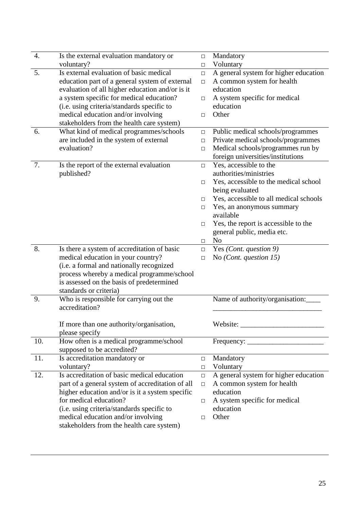| 4.  | Is the external evaluation mandatory or                                        | □      | Mandatory                              |
|-----|--------------------------------------------------------------------------------|--------|----------------------------------------|
|     | voluntary?                                                                     | □      | Voluntary                              |
| 5.  | Is external evaluation of basic medical                                        | $\Box$ | A general system for higher education  |
|     | education part of a general system of external                                 | $\Box$ | A common system for health             |
|     | evaluation of all higher education and/or is it                                |        | education                              |
|     | a system specific for medical education?                                       | □      | A system specific for medical          |
|     | (i.e. using criteria/standards specific to                                     |        | education                              |
|     | medical education and/or involving                                             | $\Box$ | Other                                  |
|     | stakeholders from the health care system)                                      |        |                                        |
| 6.  | What kind of medical programmes/schools                                        | $\Box$ | Public medical schools/programmes      |
|     | are included in the system of external                                         | $\Box$ | Private medical schools/programmes     |
|     | evaluation?                                                                    | $\Box$ | Medical schools/programmes run by      |
|     |                                                                                |        | foreign universities/institutions      |
| 7.  | Is the report of the external evaluation                                       | □      | Yes, accessible to the                 |
|     | published?                                                                     |        | authorities/ministries                 |
|     |                                                                                | $\Box$ | Yes, accessible to the medical school  |
|     |                                                                                |        | being evaluated                        |
|     |                                                                                | П      | Yes, accessible to all medical schools |
|     |                                                                                | □      | Yes, an anonymous summary              |
|     |                                                                                |        | available                              |
|     |                                                                                | $\Box$ | Yes, the report is accessible to the   |
|     |                                                                                |        | general public, media etc.             |
| 8.  |                                                                                | □      | N <sub>o</sub>                         |
|     | Is there a system of accreditation of basic                                    | $\Box$ | Yes (Cont. question 9)                 |
|     | medical education in your country?<br>(i.e. a formal and nationally recognized | $\Box$ | No ( <i>Cont. question 15</i> )        |
|     | process whereby a medical programme/school                                     |        |                                        |
|     | is assessed on the basis of predetermined                                      |        |                                        |
|     | standards or criteria)                                                         |        |                                        |
| 9.  | Who is responsible for carrying out the                                        |        | Name of authority/organisation:        |
|     | accreditation?                                                                 |        |                                        |
|     |                                                                                |        |                                        |
|     | If more than one authority/organisation,                                       |        | Website:                               |
|     | please specify                                                                 |        |                                        |
| 10. | How often is a medical programme/school                                        |        |                                        |
|     | supposed to be accredited?                                                     |        |                                        |
| 11. | Is accreditation mandatory or                                                  | $\Box$ | Mandatory                              |
|     | voluntary?                                                                     | □      | Voluntary                              |
| 12. | Is accreditation of basic medical education                                    | $\Box$ | A general system for higher education  |
|     | part of a general system of accreditation of all                               | □      | A common system for health             |
|     | higher education and/or is it a system specific                                |        | education                              |
|     | for medical education?                                                         | □      | A system specific for medical          |
|     | (i.e. using criteria/standards specific to                                     |        | education                              |
|     | medical education and/or involving                                             | □      | Other                                  |
|     | stakeholders from the health care system)                                      |        |                                        |